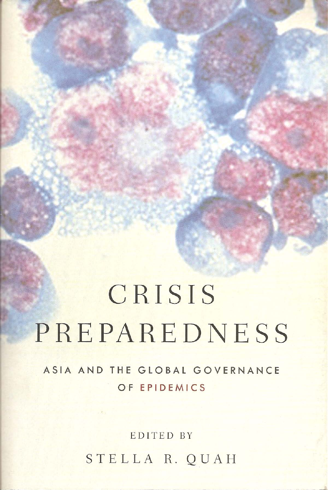# CRISIS PREPAREDNESS

ASIA AND THE GLOBAL GOVERNANCE OF EPIDEMICS

EDITED BY

STELLA R. QUAH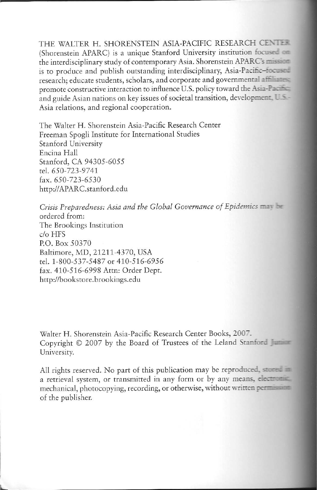THE WALTER H. SHORENSTEIN ASIA-PACIFIC RESEARCH CENTER (Shorenstein APARC) is a unique Stanford University institution focused on the interdisciplinary study of contemporary Asia. Shorenstein APARC's mission is to produce and publish outstanding interdisciplinary, Asia-Pacific-focused research; educate students, scholars, and corporate and governmental affiliation promote constructive interaction to influence U.S. policy toward the Asia-Party and guide Asian nations on key issues of societal transition, development. U.S.-Asia relations, and regional cooperation.

The Walter H. Shorenstein Asia-Pacific Research Center Freeman Spogli Institute for International Studies Stanford University Encina Hall Stanford, CA 94305-6055 tel. 650-723-9741 fax, 650-723-6530 http://APARC.stanford.edu

Crisis Preparedness: Asia and the Global Governance of Epidemics may be ordered from: The Brookings Institution  $c/\sigma$  HFS P.O. Box 50370 Baltimore, MD, 21211-4370, USA tel. 1-800-537-5487 or 410-516-6956 fax. 410-516-6998 Attn: Order Dept. http://bookstore.brookings.edu

Walter H. Shorenstein Asia-Pacific Research Center Books, 2007. Copyright © 2007 by the Board of Trustees of the Leland Stanford University.

All rights reserved. No part of this publication may be reproduced, stored in a retrieval system, or transmitted in any form or by any means, electronic mechanical, photocopying, recording, or otherwise, without written personal of the publisher.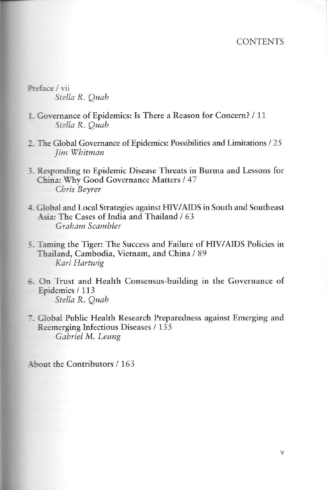Preface / vii Stella R. Quah

- 1. Governance of Epidemics: Is There a Reason for Concern? / 11 Stella R. Ouah
- 2. The Global Governance of Epidemics: Possibilities and Limitations / 25 Jim Whitman
- 3. Responding to Epidemic Disease Threats in Burma and Lessons for China: Why Good Governance Matters / 47 Chris Bevrer
- 4. Global and Local Strategies against HIV/AIDS in South and Southeast Asia: The Cases of India and Thailand / 63 Graham Scambler
- 5. Taming the Tiger: The Success and Failure of HIV/AIDS Policies in Thailand, Cambodia, Vietnam, and China / 89 Kari Hartwig
- 6. On Trust and Health Consensus-building in the Governance of Epidemics / 113 Stella R. Ouah
- 7. Global Public Health Research Preparedness against Emerging and Reemerging Infectious Diseases / 135 Gabriel M. Leung

About the Contributors / 163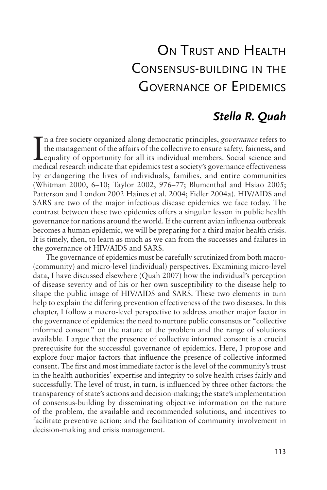## ON TRUST AND HEALTH Consensus-building in the Governance of Epidemics

### *Stella R. Quah*

In a free society organized along democratic principles, *governance* refers to the management of the affairs of the collective to ensure safety, fairness, and equality of opportunity for all its individual members. Social n a free society organized along democratic principles, *governance* refers to the management of the affairs of the collective to ensure safety, fairness, and medical research indicate that epidemics test a society's governance effectiveness by endangering the lives of individuals, families, and entire communities (Whitman 2000, 6–10; Taylor 2002, 976–77; Blumenthal and Hsiao 2005; Patterson and London 2002 Haines et al. 2004; Fidler 2004a). HIV/AIDS and SARS are two of the major infectious disease epidemics we face today. The contrast between these two epidemics offers a singular lesson in public health governance for nations around the world. If the current avian influenza outbreak becomes a human epidemic, we will be preparing for a third major health crisis. It is timely, then, to learn as much as we can from the successes and failures in the governance of HIV/AIDS and SARS.

The governance of epidemics must be carefully scrutinized from both macro- (community) and micro-level (individual) perspectives. Examining micro-level data, I have discussed elsewhere (Quah 2007) how the individual's perception of disease severity and of his or her own susceptibility to the disease help to shape the public image of HIV/AIDS and SARS. These two elements in turn help to explain the differing prevention effectiveness of the two diseases. In this chapter, I follow a macro-level perspective to address another major factor in the governance of epidemics: the need to nurture public consensus or "collective informed consent" on the nature of the problem and the range of solutions available. I argue that the presence of collective informed consent is a crucial prerequisite for the successful governance of epidemics. Here, I propose and explore four major factors that influence the presence of collective informed consent. The first and most immediate factor is the level of the community's trust in the health authorities' expertise and integrity to solve health crises fairly and successfully. The level of trust, in turn, is influenced by three other factors: the transparency of state's actions and decision-making; the state's implementation of consensus-building by disseminating objective information on the nature of the problem, the available and recommended solutions, and incentives to facilitate preventive action; and the facilitation of community involvement in decision-making and crisis management.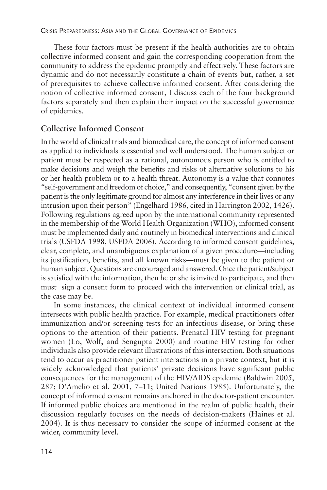Crisis Preparedness: Asia and the Global Governance of Epidemics

These four factors must be present if the health authorities are to obtain collective informed consent and gain the corresponding cooperation from the community to address the epidemic promptly and effectively. These factors are dynamic and do not necessarily constitute a chain of events but, rather, a set of prerequisites to achieve collective informed consent. After considering the notion of collective informed consent, I discuss each of the four background factors separately and then explain their impact on the successful governance of epidemics.

#### **Collective Informed Consent**

In the world of clinical trials and biomedical care, the concept of informed consent as applied to individuals is essential and well understood. The human subject or patient must be respected as a rational, autonomous person who is entitled to make decisions and weigh the benefits and risks of alternative solutions to his or her health problem or to a health threat. Autonomy is a value that connotes "self-government and freedom of choice," and consequently, "consent given by the patient is the only legitimate ground for almost any interference in their lives or any intrusion upon their person" (Engelhard 1986, cited in Harrington 2002, 1426). Following regulations agreed upon by the international community represented in the membership of the World Health Organization (WHO), informed consent must be implemented daily and routinely in biomedical interventions and clinical trials (USFDA 1998, USFDA 2006). According to informed consent guidelines, clear, complete, and unambiguous explanation of a given procedure—including its justification, benefits, and all known risks—must be given to the patient or human subject. Questions are encouraged and answered. Once the patient/subject is satisfied with the information, then he or she is invited to participate, and then must sign a consent form to proceed with the intervention or clinical trial, as the case may be.

In some instances, the clinical context of individual informed consent intersects with public health practice. For example, medical practitioners offer immunization and/or screening tests for an infectious disease, or bring these options to the attention of their patients. Prenatal HIV testing for pregnant women (Lo, Wolf, and Sengupta 2000) and routine HIV testing for other individuals also provide relevant illustrations of this intersection. Both situations tend to occur as practitioner-patient interactions in a private context, but it is widely acknowledged that patients' private decisions have significant public consequences for the management of the HIV/AIDS epidemic (Baldwin 2005, 287; D'Amelio et al. 2001, 7–11; United Nations 1985). Unfortunately, the concept of informed consent remains anchored in the doctor-patient encounter. If informed public choices are mentioned in the realm of public health, their discussion regularly focuses on the needs of decision-makers (Haines et al. 2004). It is thus necessary to consider the scope of informed consent at the wider, community level.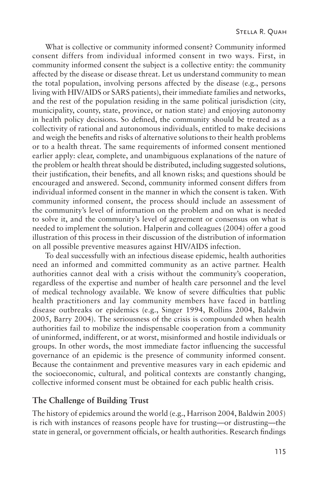What is collective or community informed consent? Community informed consent differs from individual informed consent in two ways. First, in community informed consent the subject is a collective entity: the community affected by the disease or disease threat. Let us understand community to mean the total population, involving persons affected by the disease (e.g., persons living with HIV/AIDS or SARS patients), their immediate families and networks, and the rest of the population residing in the same political jurisdiction (city, municipality, county, state, province, or nation state) and enjoying autonomy in health policy decisions. So defined, the community should be treated as a collectivity of rational and autonomous individuals, entitled to make decisions and weigh the benefits and risks of alternative solutions to their health problems or to a health threat. The same requirements of informed consent mentioned earlier apply: clear, complete, and unambiguous explanations of the nature of the problem or health threat should be distributed, including suggested solutions, their justification, their benefits, and all known risks; and questions should be encouraged and answered. Second, community informed consent differs from individual informed consent in the manner in which the consent is taken. With community informed consent, the process should include an assessment of the community's level of information on the problem and on what is needed to solve it, and the community's level of agreement or consensus on what is needed to implement the solution. Halperin and colleagues (2004) offer a good illustration of this process in their discussion of the distribution of information on all possible preventive measures against HIV/AIDS infection.

To deal successfully with an infectious disease epidemic, health authorities need an informed and committed community as an active partner. Health authorities cannot deal with a crisis without the community's cooperation, regardless of the expertise and number of health care personnel and the level of medical technology available. We know of severe difficulties that public health practitioners and lay community members have faced in battling disease outbreaks or epidemics (e.g., Singer 1994, Rollins 2004, Baldwin 2005, Barry 2004). The seriousness of the crisis is compounded when health authorities fail to mobilize the indispensable cooperation from a community of uninformed, indifferent, or at worst, misinformed and hostile individuals or groups. In other words, the most immediate factor influencing the successful governance of an epidemic is the presence of community informed consent. Because the containment and preventive measures vary in each epidemic and the socioeconomic, cultural, and political contexts are constantly changing, collective informed consent must be obtained for each public health crisis.

#### **The Challenge of Building Trust**

The history of epidemics around the world (e.g., Harrison 2004, Baldwin 2005) is rich with instances of reasons people have for trusting—or distrusting—the state in general, or government officials, or health authorities. Research findings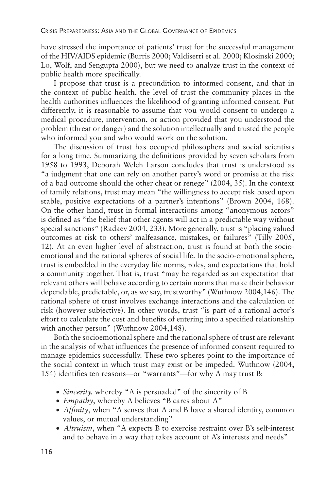have stressed the importance of patients' trust for the successful management of the HIV/AIDS epidemic (Burris 2000; Valdiserri et al. 2000; Klosinski 2000; Lo, Wolf, and Sengupta 2000), but we need to analyze trust in the context of public health more specifically.

I propose that trust is a precondition to informed consent, and that in the context of public health, the level of trust the community places in the health authorities influences the likelihood of granting informed consent. Put differently, it is reasonable to assume that you would consent to undergo a medical procedure, intervention, or action provided that you understood the problem (threat or danger) and the solution intellectually and trusted the people who informed you and who would work on the solution.

The discussion of trust has occupied philosophers and social scientists for a long time. Summarizing the definitions provided by seven scholars from 1958 to 1993, Deborah Welch Larson concludes that trust is understood as "a judgment that one can rely on another party's word or promise at the risk of a bad outcome should the other cheat or renege" (2004, 35). In the context of family relations, trust may mean "the willingness to accept risk based upon stable, positive expectations of a partner's intentions" (Brown 2004, 168). On the other hand, trust in formal interactions among "anonymous actors" is defined as "the belief that other agents will act in a predictable way without special sanctions" (Radaev 2004, 233). More generally, trust is "placing valued outcomes at risk to others' malfeasance, mistakes, or failures" (Tilly 2005, 12). At an even higher level of abstraction, trust is found at both the socioemotional and the rational spheres of social life. In the socio-emotional sphere, trust is embedded in the everyday life norms, roles, and expectations that hold a community together. That is, trust "may be regarded as an expectation that relevant others will behave according to certain norms that make their behavior dependable, predictable, or, as we say, trustworthy" (Wuthnow 2004,146). The rational sphere of trust involves exchange interactions and the calculation of risk (however subjective). In other words, trust "is part of a rational actor's effort to calculate the cost and benefits of entering into a specified relationship with another person" (Wuthnow 2004,148).

Both the socioemotional sphere and the rational sphere of trust are relevant in the analysis of what influences the presence of informed consent required to manage epidemics successfully. These two spheres point to the importance of the social context in which trust may exist or be impeded. Wuthnow (2004, 154) identifies ten reasons—or "warrants"—for why A may trust B:

- *Sincerity*, whereby "A is persuaded" of the sincerity of B
- *Empathy*, whereby A believes "B cares about A"
- *Affinity*, when "A senses that A and B have a shared identity, common values, or mutual understanding"
- *Altruism*, when "A expects B to exercise restraint over B's self-interest and to behave in a way that takes account of A's interests and needs"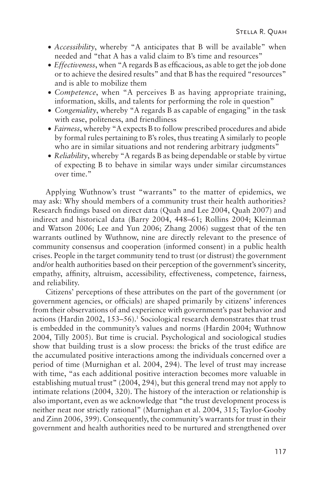- *Accessibility*, whereby "A anticipates that B will be available" when needed and "that A has a valid claim to B's time and resources"
- *Effectiveness*, when "A regards B as efficacious, as able to get the job done or to achieve the desired results" and that B has the required "resources" and is able to mobilize them
- *Competence*, when "A perceives B as having appropriate training, information, skills, and talents for performing the role in question"
- *Congeniality*, whereby "A regards B as capable of engaging" in the task with ease, politeness, and friendliness
- *Fairness*, whereby "A expects B to follow prescribed procedures and abide by formal rules pertaining to B's roles, thus treating A similarly to people who are in similar situations and not rendering arbitrary judgments"
- *Reliability*, whereby "A regards B as being dependable or stable by virtue of expecting B to behave in similar ways under similar circumstances over time."

Applying Wuthnow's trust "warrants" to the matter of epidemics, we may ask: Why should members of a community trust their health authorities? Research findings based on direct data (Quah and Lee 2004, Quah 2007) and indirect and historical data (Barry 2004, 448–61; Rollins 2004; Kleinman and Watson 2006; Lee and Yun 2006; Zhang 2006) suggest that of the ten warrants outlined by Wuthnow, nine are directly relevant to the presence of community consensus and cooperation (informed consent) in a public health crises. People in the target community tend to trust (or distrust) the government and/or health authorities based on their perception of the government's sincerity, empathy, affinity, altruism, accessibility, effectiveness, competence, fairness, and reliability.

Citizens' perceptions of these attributes on the part of the government (or government agencies, or officials) are shaped primarily by citizens' inferences from their observations of and experience with government's past behavior and actions (Hardin 2002, 153–56).<sup>1</sup> Sociological research demonstrates that trust is embedded in the community's values and norms (Hardin 2004; Wuthnow 2004, Tilly 2005). But time is crucial. Psychological and sociological studies show that building trust is a slow process: the bricks of the trust edifice are the accumulated positive interactions among the individuals concerned over a period of time (Murnighan et al. 2004, 294). The level of trust may increase with time, "as each additional positive interaction becomes more valuable in establishing mutual trust" (2004, 294), but this general trend may not apply to intimate relations (2004, 320). The history of the interaction or relationship is also important, even as we acknowledge that "the trust development process is neither neat nor strictly rational" (Murnighan et al. 2004, 315; Taylor-Gooby and Zinn 2006, 399). Consequently, the community's warrants for trust in their government and health authorities need to be nurtured and strengthened over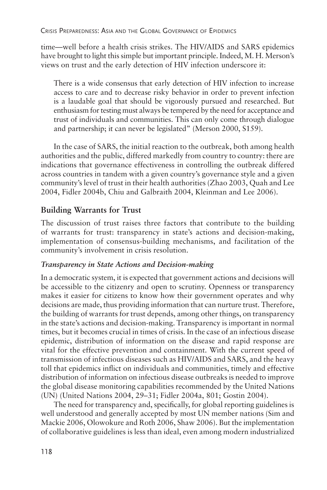time—well before a health crisis strikes. The HIV/AIDS and SARS epidemics have brought to light this simple but important principle. Indeed, M. H. Merson's views on trust and the early detection of HIV infection underscore it:

There is a wide consensus that early detection of HIV infection to increase access to care and to decrease risky behavior in order to prevent infection is a laudable goal that should be vigorously pursued and researched. But enthusiasm for testing must always be tempered by the need for acceptance and trust of individuals and communities. This can only come through dialogue and partnership; it can never be legislated" (Merson 2000, S159).

In the case of SARS, the initial reaction to the outbreak, both among health authorities and the public, differed markedly from country to country: there are indications that governance effectiveness in controlling the outbreak differed across countries in tandem with a given country's governance style and a given community's level of trust in their health authorities (Zhao 2003, Quah and Lee 2004, Fidler 2004b, Chiu and Galbraith 2004, Kleinman and Lee 2006).

#### **Building Warrants for Trust**

The discussion of trust raises three factors that contribute to the building of warrants for trust: transparency in state's actions and decision-making, implementation of consensus-building mechanisms, and facilitation of the community's involvement in crisis resolution.

#### *Transparency in State Actions and Decision-making*

In a democratic system, it is expected that government actions and decisions will be accessible to the citizenry and open to scrutiny. Openness or transparency makes it easier for citizens to know how their government operates and why decisions are made, thus providing information that can nurture trust. Therefore, the building of warrants for trust depends, among other things, on transparency in the state's actions and decision-making. Transparency is important in normal times, but it becomes crucial in times of crisis. In the case of an infectious disease epidemic, distribution of information on the disease and rapid response are vital for the effective prevention and containment. With the current speed of transmission of infectious diseases such as HIV/AIDS and SARS, and the heavy toll that epidemics inflict on individuals and communities, timely and effective distribution of information on infectious disease outbreaks is needed to improve the global disease monitoring capabilities recommended by the United Nations (UN) (United Nations 2004, 29–31; Fidler 2004a, 801; Gostin 2004).

The need for transparency and, specifically, for global reporting guidelines is well understood and generally accepted by most UN member nations (Sim and Mackie 2006, Olowokure and Roth 2006, Shaw 2006). But the implementation of collaborative guidelines is less than ideal, even among modern industrialized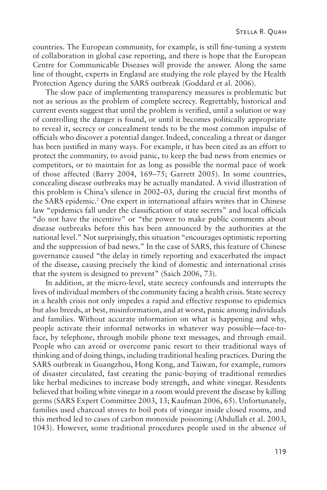countries. The European community, for example, is still fine-tuning a system of collaboration in global case reporting, and there is hope that the European Centre for Communicable Diseases will provide the answer. Along the same line of thought, experts in England are studying the role played by the Health Protection Agency during the SARS outbreak (Goddard et al. 2006).

The slow pace of implementing transparency measures is problematic but not as serious as the problem of complete secrecy. Regrettably, historical and current events suggest that until the problem is verified, until a solution or way of controlling the danger is found, or until it becomes politically appropriate to reveal it, secrecy or concealment tends to be the most common impulse of officials who discover a potential danger. Indeed, concealing a threat or danger has been justified in many ways. For example, it has been cited as an effort to protect the community, to avoid panic, to keep the bad news from enemies or competitors, or to maintain for as long as possible the normal pace of work of those affected (Barry 2004, 169–75; Garrett 2005). In some countries, concealing disease outbreaks may be actually mandated. A vivid illustration of this problem is China's silence in 2002–03, during the crucial first months of the SARS epidemic.<sup>2</sup> One expert in international affairs writes that in Chinese law "epidemics fall under the classification of state secrets" and local officials "do not have the incentive" or "the power to make public comments about disease outbreaks before this has been announced by the authorities at the national level." Not surprisingly, this situation "encourages optimistic reporting and the suppression of bad news." In the case of SARS, this feature of Chinese governance caused "the delay in timely reporting and exacerbated the impact of the disease, causing precisely the kind of domestic and international crisis that the system is designed to prevent" (Saich 2006, 73).

In addition, at the micro-level, state secrecy confounds and interrupts the lives of individual members of the community facing a health crisis. State secrecy in a health crisis not only impedes a rapid and effective response to epidemics but also breeds, at best, misinformation, and at worst, panic among individuals and families. Without accurate information on what is happening and why, people activate their informal networks in whatever way possible—face-toface, by telephone, through mobile phone text messages, and through email. People who can avoid or overcome panic resort to their traditional ways of thinking and of doing things, including traditional healing practices. During the SARS outbreak in Guangzhou, Hong Kong, and Taiwan, for example, rumors of disaster circulated, fast creating the panic-buying of traditional remedies like herbal medicines to increase body strength, and white vinegar. Residents believed that boiling white vinegar in a room would prevent the disease by killing germs (SARS Expert Committee 2003, 13; Kaufman 2006, 65). Unfortunately, families used charcoal stoves to boil pots of vinegar inside closed rooms, and this method led to cases of carbon monoxide poisoning (Abdullah et al. 2003, 1043). However, some traditional procedures people used in the absence of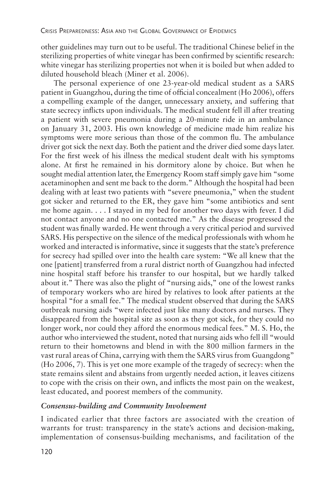other guidelines may turn out to be useful. The traditional Chinese belief in the sterilizing properties of white vinegar has been confirmed by scientific research: white vinegar has sterilizing properties not when it is boiled but when added to diluted household bleach (Miner et al. 2006).

The personal experience of one 23-year-old medical student as a SARS patient in Guangzhou, during the time of official concealment (Ho 2006), offers a compelling example of the danger, unnecessary anxiety, and suffering that state secrecy inflicts upon individuals. The medical student fell ill after treating a patient with severe pneumonia during a 20-minute ride in an ambulance on January 31, 2003. His own knowledge of medicine made him realize his symptoms were more serious than those of the common flu. The ambulance driver got sick the next day. Both the patient and the driver died some days later. For the first week of his illness the medical student dealt with his symptoms alone. At first he remained in his dormitory alone by choice. But when he sought medial attention later, the Emergency Room staff simply gave him "some acetaminophen and sent me back to the dorm." Although the hospital had been dealing with at least two patients with "severe pneumonia," when the student got sicker and returned to the ER, they gave him "some antibiotics and sent me home again. . . . I stayed in my bed for another two days with fever. I did not contact anyone and no one contacted me." As the disease progressed the student was finally warded. He went through a very critical period and survived SARS. His perspective on the silence of the medical professionals with whom he worked and interacted is informative, since it suggests that the state's preference for secrecy had spilled over into the health care system: "We all knew that the one [patient] transferred from a rural district north of Guangzhou had infected nine hospital staff before his transfer to our hospital, but we hardly talked about it." There was also the plight of "nursing aids," one of the lowest ranks of temporary workers who are hired by relatives to look after patients at the hospital "for a small fee." The medical student observed that during the SARS outbreak nursing aids "were infected just like many doctors and nurses. They disappeared from the hospital site as soon as they got sick, for they could no longer work, nor could they afford the enormous medical fees." M. S. Ho, the author who interviewed the student, noted that nursing aids who fell ill "would return to their hometowns and blend in with the 800 million farmers in the vast rural areas of China, carrying with them the SARS virus from Guangdong" (Ho 2006, 7). This is yet one more example of the tragedy of secrecy: when the state remains silent and abstains from urgently needed action, it leaves citizens to cope with the crisis on their own, and inflicts the most pain on the weakest, least educated, and poorest members of the community.

#### *Consensus-building and Community Involvement*

I indicated earlier that three factors are associated with the creation of warrants for trust: transparency in the state's actions and decision-making, implementation of consensus-building mechanisms, and facilitation of the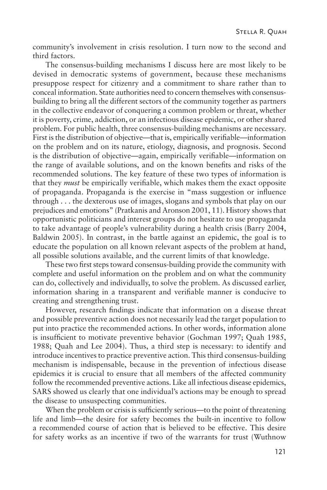community's involvement in crisis resolution. I turn now to the second and third factors.

The consensus-building mechanisms I discuss here are most likely to be devised in democratic systems of government, because these mechanisms presuppose respect for citizenry and a commitment to share rather than to conceal information. State authorities need to concern themselves with consensusbuilding to bring all the different sectors of the community together as partners in the collective endeavor of conquering a common problem or threat, whether it is poverty, crime, addiction, or an infectious disease epidemic, or other shared problem. For public health, three consensus-building mechanisms are necessary. First is the distribution of objective—that is, empirically verifiable—information on the problem and on its nature, etiology, diagnosis, and prognosis. Second is the distribution of objective—again, empirically verifiable—information on the range of available solutions, and on the known benefits and risks of the recommended solutions. The key feature of these two types of information is that they *must* be empirically verifiable, which makes them the exact opposite of propaganda. Propaganda is the exercise in "mass suggestion or influence through . . . the dexterous use of images, slogans and symbols that play on our prejudices and emotions" (Pratkanis and Aronson 2001, 11). History shows that opportunistic politicians and interest groups do not hesitate to use propaganda to take advantage of people's vulnerability during a health crisis (Barry 2004, Baldwin 2005). In contrast, in the battle against an epidemic, the goal is to educate the population on all known relevant aspects of the problem at hand, all possible solutions available, and the current limits of that knowledge.

These two first steps toward consensus-building provide the community with complete and useful information on the problem and on what the community can do, collectively and individually, to solve the problem. As discussed earlier, information sharing in a transparent and verifiable manner is conducive to creating and strengthening trust.

However, research findings indicate that information on a disease threat and possible preventive action does not necessarily lead the target population to put into practice the recommended actions. In other words, information alone is insufficient to motivate preventive behavior (Gochman 1997; Quah 1985, 1988; Quah and Lee 2004). Thus, a third step is necessary: to identify and introduce incentives to practice preventive action. This third consensus-building mechanism is indispensable, because in the prevention of infectious disease epidemics it is crucial to ensure that all members of the affected community follow the recommended preventive actions. Like all infectious disease epidemics, SARS showed us clearly that one individual's actions may be enough to spread the disease to unsuspecting communities.

When the problem or crisis is sufficiently serious—to the point of threatening life and limb—the desire for safety becomes the built-in incentive to follow a recommended course of action that is believed to be effective. This desire for safety works as an incentive if two of the warrants for trust (Wuthnow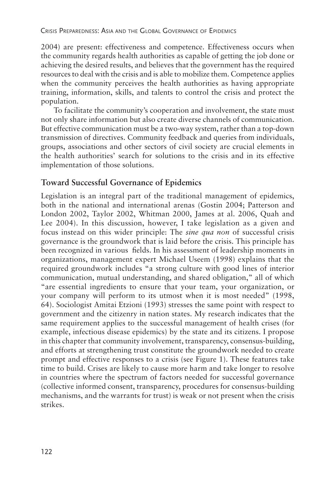2004) are present: effectiveness and competence. Effectiveness occurs when the community regards health authorities as capable of getting the job done or achieving the desired results, and believes that the government has the required resources to deal with the crisis and is able to mobilize them. Competence applies when the community perceives the health authorities as having appropriate training, information, skills, and talents to control the crisis and protect the population.

To facilitate the community's cooperation and involvement, the state must not only share information but also create diverse channels of communication. But effective communication must be a two-way system, rather than a top-down transmission of directives. Community feedback and queries from individuals, groups, associations and other sectors of civil society are crucial elements in the health authorities' search for solutions to the crisis and in its effective implementation of those solutions.

#### **Toward Successful Governance of Epidemics**

Legislation is an integral part of the traditional management of epidemics, both in the national and international arenas (Gostin 2004; Patterson and London 2002, Taylor 2002, Whitman 2000, James at al. 2006, Quah and Lee 2004). In this discussion, however, I take legislation as a given and focus instead on this wider principle: The *sine qua non* of successful crisis governance is the groundwork that is laid before the crisis. This principle has been recognized in various fields. In his assessment of leadership moments in organizations, management expert Michael Useem (1998) explains that the required groundwork includes "a strong culture with good lines of interior communication, mutual understanding, and shared obligation," all of which "are essential ingredients to ensure that your team, your organization, or your company will perform to its utmost when it is most needed" (1998, 64). Sociologist Amitai Etzioni (1993) stresses the same point with respect to government and the citizenry in nation states. My research indicates that the same requirement applies to the successful management of health crises (for example, infectious disease epidemics) by the state and its citizens. I propose in this chapter that community involvement, transparency, consensus-building, and efforts at strengthening trust constitute the groundwork needed to create prompt and effective responses to a crisis (see Figure 1). These features take time to build. Crises are likely to cause more harm and take longer to resolve in countries where the spectrum of factors needed for successful governance (collective informed consent, transparency, procedures for consensus-building mechanisms, and the warrants for trust) is weak or not present when the crisis strikes.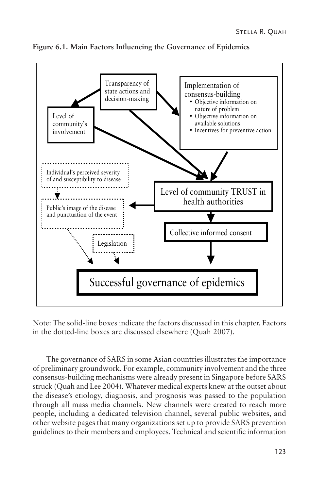

**Figure 6.1. Main Factors Influencing the Governance of Epidemics**

Note: The solid-line boxes indicate the factors discussed in this chapter. Factors in the dotted-line boxes are discussed elsewhere (Quah 2007).

The governance of SARS in some Asian countries illustrates the importance of preliminary groundwork. For example, community involvement and the three consensus-building mechanisms were already present in Singapore before SARS struck (Quah and Lee 2004). Whatever medical experts knew at the outset about the disease's etiology, diagnosis, and prognosis was passed to the population through all mass media channels. New channels were created to reach more people, including a dedicated television channel, several public websites, and other website pages that many organizations set up to provide SARS prevention guidelines to their members and employees. Technical and scientific information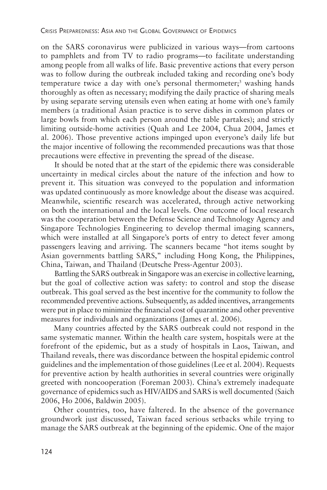on the SARS coronavirus were publicized in various ways—from cartoons to pamphlets and from TV to radio programs—to facilitate understanding among people from all walks of life. Basic preventive actions that every person was to follow during the outbreak included taking and recording one's body temperature twice a day with one's personal thermometer;<sup>3</sup> washing hands thoroughly as often as necessary; modifying the daily practice of sharing meals by using separate serving utensils even when eating at home with one's family members (a traditional Asian practice is to serve dishes in common plates or large bowls from which each person around the table partakes); and strictly limiting outside-home activities (Quah and Lee 2004, Chua 2004, James et al. 2006). Those preventive actions impinged upon everyone's daily life but the major incentive of following the recommended precautions was that those precautions were effective in preventing the spread of the disease.

It should be noted that at the start of the epidemic there was considerable uncertainty in medical circles about the nature of the infection and how to prevent it. This situation was conveyed to the population and information was updated continuously as more knowledge about the disease was acquired. Meanwhile, scientific research was accelerated, through active networking on both the international and the local levels. One outcome of local research was the cooperation between the Defense Science and Technology Agency and Singapore Technologies Engineering to develop thermal imaging scanners, which were installed at all Singapore's ports of entry to detect fever among passengers leaving and arriving. The scanners became "hot items sought by Asian governments battling SARS," including Hong Kong, the Philippines, China, Taiwan, and Thailand (Deutsche Press-Agentur 2003).

Battling the SARS outbreak in Singapore was an exercise in collective learning, but the goal of collective action was safety: to control and stop the disease outbreak. This goal served as the best incentive for the community to follow the recommended preventive actions. Subsequently, as added incentives, arrangements were put in place to minimize the financial cost of quarantine and other preventive measures for individuals and organizations (James et al. 2006).

Many countries affected by the SARS outbreak could not respond in the same systematic manner. Within the health care system, hospitals were at the forefront of the epidemic, but as a study of hospitals in Laos, Taiwan, and Thailand reveals, there was discordance between the hospital epidemic control guidelines and the implementation of those guidelines (Lee et al. 2004). Requests for preventive action by health authorities in several countries were originally greeted with noncooperation (Foreman 2003). China's extremely inadequate governance of epidemics such as HIV/AIDS and SARS is well documented (Saich 2006, Ho 2006, Baldwin 2005).

Other countries, too, have faltered. In the absence of the governance groundwork just discussed, Taiwan faced serious setbacks while trying to manage the SARS outbreak at the beginning of the epidemic. One of the major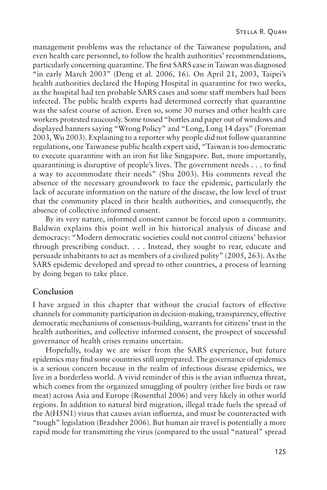management problems was the reluctance of the Taiwanese population, and even health care personnel, to follow the health authorities' recommendations, particularly concerning quarantine. The first SARS case in Taiwan was diagnosed "in early March 2003" (Deng et al. 2006, 16). On April 21, 2003, Taipei's health authorities declared the Hoping Hospital in quarantine for two weeks, as the hospital had ten probable SARS cases and some staff members had been infected. The public health experts had determined correctly that quarantine was the safest course of action. Even so, some 30 nurses and other health care workers protested raucously. Some tossed "bottles and paper out of windows and displayed banners saying "Wrong Policy" and "Long, Long 14 days" (Foreman 2003, Wu 2003). Explaining to a reporter why people did not follow quarantine regulations, one Taiwanese public health expert said, "Taiwan is too democratic to execute quarantine with an iron fist like Singapore. But, more importantly, quarantining is disruptive of people's lives. The government needs . . . to find a way to accommodate their needs" (Shu 2003). His comments reveal the absence of the necessary groundwork to face the epidemic, particularly the lack of accurate information on the nature of the disease, the low level of trust that the community placed in their health authorities, and consequently, the absence of collective informed consent.

By its very nature, informed consent cannot be forced upon a community. Baldwin explains this point well in his historical analysis of disease and democracy: "Modern democratic societies could not control citizens' behavior through prescribing conduct. . . . Instead, they sought to rear, educate and persuade inhabitants to act as members of a civilized polity" (2005, 263). As the SARS epidemic developed and spread to other countries, a process of learning by doing began to take place.

#### **Conclusion**

I have argued in this chapter that without the crucial factors of effective channels for community participation in decision-making, transparency, effective democratic mechanisms of consensus-building, warrants for citizens' trust in the health authorities, and collective informed consent, the prospect of successful governance of health crises remains uncertain.

Hopefully, today we are wiser from the SARS experience, but future epidemics may find some countries still unprepared. The governance of epidemics is a serious concern because in the realm of infectious disease epidemics, we live in a borderless world. A vivid reminder of this is the avian influenza threat, which comes from the organized smuggling of poultry (either live birds or raw meat) across Asia and Europe (Rosenthal 2006) and very likely in other world regions. In addition to natural bird migration, illegal trade fuels the spread of the A(H5N1) virus that causes avian influenza, and must be counteracted with "tough" legislation (Bradsher 2006). But human air travel is potentially a more rapid mode for transmitting the virus (compared to the usual "natural" spread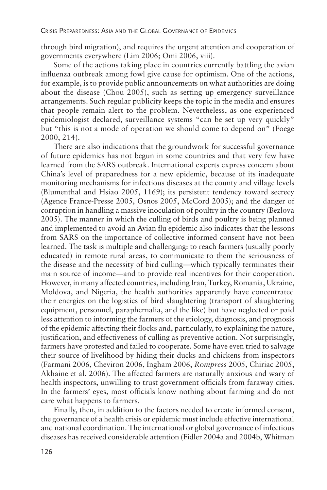through bird migration), and requires the urgent attention and cooperation of governments everywhere (Lim 2006; Omi 2006, viii).

Some of the actions taking place in countries currently battling the avian influenza outbreak among fowl give cause for optimism. One of the actions, for example, is to provide public announcements on what authorities are doing about the disease (Chou 2005), such as setting up emergency surveillance arrangements. Such regular publicity keeps the topic in the media and ensures that people remain alert to the problem. Nevertheless, as one experienced epidemiologist declared, surveillance systems "can be set up very quickly" but "this is not a mode of operation we should come to depend on" (Foege 2000, 214).

There are also indications that the groundwork for successful governance of future epidemics has not begun in some countries and that very few have learned from the SARS outbreak. International experts express concern about China's level of preparedness for a new epidemic, because of its inadequate monitoring mechanisms for infectious diseases at the county and village levels (Blumenthal and Hsiao 2005, 1169); its persistent tendency toward secrecy (Agence France-Presse 2005, Osnos 2005, McCord 2005); and the danger of corruption in handling a massive inoculation of poultry in the country (Bezlova 2005). The manner in which the culling of birds and poultry is being planned and implemented to avoid an Avian flu epidemic also indicates that the lessons from SARS on the importance of collective informed consent have not been learned. The task is multiple and challenging: to reach farmers (usually poorly educated) in remote rural areas, to communicate to them the seriousness of the disease and the necessity of bird culling—which typically terminates their main source of income—and to provide real incentives for their cooperation. However, in many affected countries, including Iran, Turkey, Romania, Ukraine, Moldova, and Nigeria, the health authorities apparently have concentrated their energies on the logistics of bird slaughtering (transport of slaughtering equipment, personnel, paraphernalia, and the like) but have neglected or paid less attention to informing the farmers of the etiology, diagnosis, and prognosis of the epidemic affecting their flocks and, particularly, to explaining the nature, justification, and effectiveness of culling as preventive action. Not surprisingly, farmers have protested and failed to cooperate. Some have even tried to salvage their source of livelihood by hiding their ducks and chickens from inspectors (Farmani 2006, Cheviron 2006, Ingham 2006, *Rompress* 2005, Chiriac 2005, Akhaine et al. 2006). The affected farmers are naturally anxious and wary of health inspectors, unwilling to trust government officials from faraway cities. In the farmers' eyes, most officials know nothing about farming and do not care what happens to farmers.

Finally, then, in addition to the factors needed to create informed consent, the governance of a health crisis or epidemic must include effective international and national coordination. The international or global governance of infectious diseases has received considerable attention (Fidler 2004a and 2004b, Whitman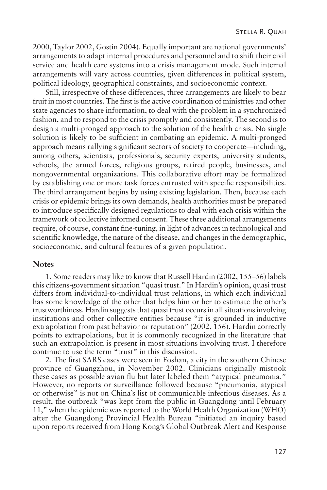2000, Taylor 2002, Gostin 2004). Equally important are national governments' arrangements to adapt internal procedures and personnel and to shift their civil service and health care systems into a crisis management mode. Such internal arrangements will vary across countries, given differences in political system, political ideology, geographical constraints, and socioeconomic context.

Still, irrespective of these differences, three arrangements are likely to bear fruit in most countries. The first is the active coordination of ministries and other state agencies to share information, to deal with the problem in a synchronized fashion, and to respond to the crisis promptly and consistently. The second is to design a multi-pronged approach to the solution of the health crisis. No single solution is likely to be sufficient in combating an epidemic. A multi-pronged approach means rallying significant sectors of society to cooperate—including, among others, scientists, professionals, security experts, university students, schools, the armed forces, religious groups, retired people, businesses, and nongovernmental organizations. This collaborative effort may be formalized by establishing one or more task forces entrusted with specific responsibilities. The third arrangement begins by using existing legislation. Then, because each crisis or epidemic brings its own demands, health authorities must be prepared to introduce specifically designed regulations to deal with each crisis within the framework of collective informed consent. These three additional arrangements require, of course, constant fine-tuning, in light of advances in technological and scientific knowledge, the nature of the disease, and changes in the demographic, socioeconomic, and cultural features of a given population.

#### **Notes**

1. Some readers may like to know that Russell Hardin (2002, 155–56) labels this citizens-government situation "quasi trust." In Hardin's opinion, quasi trust differs from individual-to-individual trust relations, in which each individual has some knowledge of the other that helps him or her to estimate the other's trustworthiness. Hardin suggests that quasi trust occurs in all situations involving institutions and other collective entities because "it is grounded in inductive extrapolation from past behavior or reputation"  $(2002, 156)$ . Hardin correctly points to extrapolations, but it is commonly recognized in the literature that such an extrapolation is present in most situations involving trust. I therefore continue to use the term "trust" in this discussion.

2. The first SARS cases were seen in Foshan, a city in the southern Chinese province of Guangzhou, in November 2002. Clinicians originally mistook these cases as possible avian flu but later labeled them "atypical pneumonia." However, no reports or surveillance followed because "pneumonia, atypical or otherwise" is not on China's list of communicable infectious diseases. As a result, the outbreak "was kept from the public in Guangdong until February 11," when the epidemic was reported to the World Health Organization (WHO) after the Guangdong Provincial Health Bureau "initiated an inquiry based upon reports received from Hong Kong's Global Outbreak Alert and Response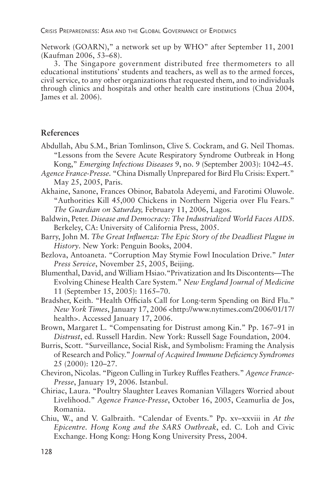Crisis Preparedness: Asia and the Global Governance of Epidemics

Network (GOARN)," a network set up by WHO" after September 11, 2001 (Kaufman 2006, 53–68).

3. The Singapore government distributed free thermometers to all educational institutions' students and teachers, as well as to the armed forces, civil service, to any other organizations that requested them, and to individuals through clinics and hospitals and other health care institutions (Chua 2004, James et al. 2006).

#### **References**

- Abdullah, Abu S.M., Brian Tomlinson, Clive S. Cockram, and G. Neil Thomas. "Lessons from the Severe Acute Respiratory Syndrome Outbreak in Hong Kong," *Emerging Infectious Diseases* 9, no. 9 (September 2003): 1042–45.
- *Agence France-Presse.* "China Dismally Unprepared for Bird Flu Crisis: Expert." May 25, 2005, Paris.
- Akhaine, Sanone, Frances Obinor, Babatola Adeyemi, and Farotimi Oluwole. "Authorities Kill 45,000 Chickens in Northern Nigeria over Flu Fears." *The Guardian on Saturday,* February 11, 2006, Lagos.
- Baldwin, Peter. *Disease and Democracy: The Industrialized World Faces AIDS*. Berkeley, CA: University of California Press, 2005.
- Barry, John M. *The Great Influenza: The Epic Story of the Deadliest Plague in History*. New York: Penguin Books, 2004.
- Bezlova, Antoaneta. "Corruption May Stymie Fowl Inoculation Drive." *Inter Press Service*, November 25, 2005, Beijing.
- Blumenthal, David, and William Hsiao."Privatization and Its Discontents—The Evolving Chinese Health Care System." *New England Journal of Medicine* 11 (September 15, 2005): 1165–70.
- Bradsher, Keith. "Health Officials Call for Long-term Spending on Bird Flu." *New York Times*, January 17, 2006 <http://www.nytimes.com/2006/01/17/ health>. Accessed January 17, 2006.
- Brown, Margaret L. "Compensating for Distrust among Kin." Pp. 167–91 in *Distrust*, ed. Russell Hardin. New York: Russell Sage Foundation, 2004.
- Burris, Scott. "Surveillance, Social Risk, and Symbolism: Framing the Analysis of Research and Policy." *Journal of Acquired Immune Deficiency Syndromes* 25 (2000): 120–27.
- Cheviron, Nicolas. "Pigeon Culling in Turkey Ruffles Feathers." *Agence France-Presse*, January 19, 2006. Istanbul.
- Chiriac, Laura. "Poultry Slaughter Leaves Romanian Villagers Worried about Livelihood." *Agence France-Presse*, October 16, 2005, Ceamurlia de Jos, Romania.
- Chiu, W., and V. Galbraith. "Calendar of Events." Pp. xv–xxviii in *At the Epicentre. Hong Kong and the SARS Outbreak*, ed. C. Loh and Civic Exchange. Hong Kong: Hong Kong University Press, 2004.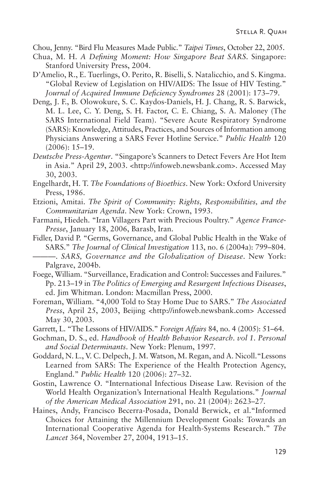Chou, Jenny. "Bird Flu Measures Made Public." *Taipei Times*, October 22, 2005.

Chua, M. H. *A Defining Moment: How Singapore Beat SARS*. Singapore: Stanford University Press, 2004.

D'Amelio, R., E. Tuerlings, O. Perito, R. Biselli, S. Natalicchio, and S. Kingma. "Global Review of Legislation on HIV/AIDS: The Issue of HIV Testing." *Journal of Acquired Immune Deficiency Syndromes* 28 (2001): 173–79.

- Deng, J. F., B. Olowokure, S. C. Kaydos-Daniels, H. J. Chang, R. S. Barwick, M. L. Lee, C. Y. Deng, S. H. Factor, C. E. Chiang, S. A. Maloney (The SARS International Field Team). "Severe Acute Respiratory Syndrome (SARS): Knowledge, Attitudes, Practices, and Sources of Information among Physicians Answering a SARS Fever Hotline Service." *Public Health* 120 (2006): 15–19.
- *Deutsche Press-Agentur*. "Singapore's Scanners to Detect Fevers Are Hot Item in Asia." April 29, 2003. <http://infoweb.newsbank.com>. Accessed May 30, 2003.
- Engelhardt, H. T. *The Foundations of Bioethics*. New York: Oxford University Press, 1986.
- Etzioni, Amitai. *The Spirit of Community: Rights, Responsibilities, and the Communitarian Agenda*. New York: Crown, 1993.
- Farmani, Hiedeh. "Iran Villagers Part with Precious Poultry." *Agence France-Presse*, January 18, 2006, Barasb, Iran.
- Fidler, David P. "Germs, Governance, and Global Public Health in the Wake of SARS." *The Journal of Clinical Investigation* 113, no. 6 (2004a): 799–804. ———. *SARS, Governance and the Globalization of Disease*. New York: Palgrave, 2004b.
- Foege, William. "Surveillance, Eradication and Control: Successes and Failures." Pp. 213–19 in *The Politics of Emerging and Resurgent Infectious Diseases*, ed. Jim Whitman. London: Macmillan Press, 2000.
- Foreman, William. "4,000 Told to Stay Home Due to SARS." *The Associated Press*, April 25, 2003, Beijing <http://infoweb.newsbank.com> Accessed May 30, 2003.
- Garrett, L. "The Lessons of HIV/AIDS." *Foreign Affairs* 84, no. 4 (2005): 51–64.
- Gochman, D. S., ed. *Handbook of Health Behavior Research. vol 1. Personal and Social Determinants*. New York: Plenum, 1997.
- Goddard, N. L., V. C. Delpech, J. M. Watson, M. Regan, and A. Nicoll."Lessons Learned from SARS: The Experience of the Health Protection Agency, England." *Public Health* 120 (2006): 27–32.
- Gostin, Lawrence O. "International Infectious Disease Law. Revision of the World Health Organization's International Health Regulations." *Journal of the American Medical Association* 291, no. 21 (2004): 2623–27.
- Haines, Andy, Francisco Becerra-Posada, Donald Berwick, et al."Informed Choices for Attaining the Millennium Development Goals: Towards an International Cooperative Agenda for Health-Systems Research." *The Lancet* 364, November 27, 2004, 1913–15.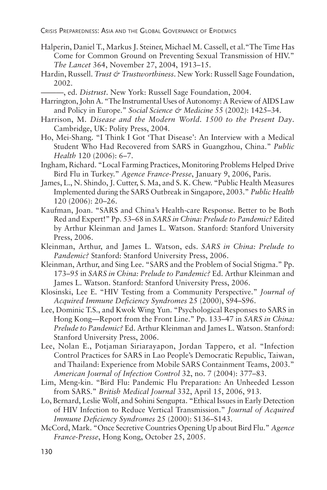Crisis Preparedness: Asia and the Global Governance of Epidemics

- Halperin, Daniel T., Markus J. Steiner, Michael M. Cassell, et al."The Time Has Come for Common Ground on Preventing Sexual Transmission of HIV." *The Lancet* 364, November 27, 2004, 1913–15.
- Hardin, Russell. *Trust & Trustworthiness*. New York: Russell Sage Foundation, 2002.
- ———, ed. *Distrust*. New York: Russell Sage Foundation, 2004.
- Harrington, John A. "The Instrumental Uses of Autonomy: A Review of AIDS Law and Policy in Europe." *Social Science & Medicine* 55 (2002): 1425–34.
- Harrison, M. *Disease and the Modern World. 1500 to the Present Day*. Cambridge, UK: Polity Press, 2004.
- Ho, Mei-Shang. "I Think I Got 'That Disease': An Interview with a Medical Student Who Had Recovered from SARS in Guangzhou, China." *Public Health* 120 (2006): 6–7.
- Ingham, Richard. "Local Farming Practices, Monitoring Problems Helped Drive Bird Flu in Turkey." *Agence France-Presse*, January 9, 2006, Paris.
- James, L., N. Shindo, J. Cutter, S. Ma, and S. K. Chew. "Public Health Measures Implemented during the SARS Outbreak in Singapore, 2003." *Public Health* 120 (2006): 20–26.
- Kaufman, Joan. "SARS and China's Health-care Response. Better to be Both Red and Expert!" Pp. 53–68 in *SARS in China: Prelude to Pandemic?* Edited by Arthur Kleinman and James L. Watson. Stanford: Stanford University Press, 2006.
- Kleinman, Arthur, and James L. Watson, eds. *SARS in China: Prelude to Pandemic?* Stanford: Stanford University Press, 2006.
- Kleinman, Arthur, and Sing Lee. "SARS and the Problem of Social Stigma." Pp. 173–95 in *SARS in China: Prelude to Pandemic?* Ed. Arthur Kleinman and James L. Watson. Stanford: Stanford University Press, 2006.
- Klosinski, Lee E. "HIV Testing from a Community Perspective." *Journal of Acquired Immune Deficiency Syndromes* 25 (2000), S94–S96.
- Lee, Dominic T.S., and Kwok Wing Yun. "Psychological Responses to SARS in Hong Kong—Report from the Front Line." Pp. 133–47 in *SARS in China: Prelude to Pandemic?* Ed. Arthur Kleinman and James L. Watson. Stanford: Stanford University Press, 2006.
- Lee, Nolan E., Potjaman Siriarayapon, Jordan Tappero, et al. "Infection Control Practices for SARS in Lao People's Democratic Republic, Taiwan, and Thailand: Experience from Mobile SARS Containment Teams, 2003." *American Journal of Infection Control* 32, no. 7 (2004): 377–83.
- Lim, Meng-kin. "Bird Flu: Pandemic Flu Preparation: An Unheeded Lesson from SARS." *British Medical Journal* 332, April 15, 2006, 913.
- Lo, Bernard, Leslie Wolf, and Sohini Sengupta. "Ethical Issues in Early Detection of HIV Infection to Reduce Vertical Transmission." *Journal of Acquired Immune Deficiency Syndromes* 25 (2000): S136–S143.
- McCord, Mark. "Once Secretive Countries Opening Up about Bird Flu." *Agence France-Presse*, Hong Kong, October 25, 2005.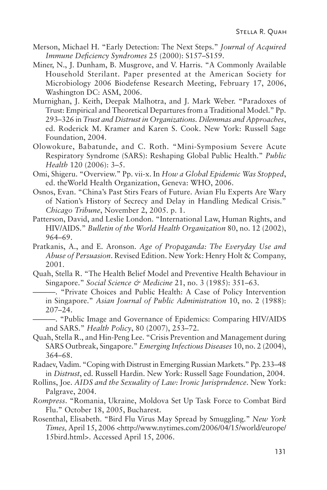- Merson, Michael H. "Early Detection: The Next Steps." *Journal of Acquired Immune Deficiency Syndromes* 25 (2000): S157–S159.
- Miner, N., J. Dunham, B. Musgrove, and V. Harris. "A Commonly Available Household Sterilant. Paper presented at the American Society for Microbiology 2006 Biodefense Research Meeting, February 17, 2006, Washington DC: ASM, 2006.
- Murnighan, J. Keith, Deepak Malhotra, and J. Mark Weber. "Paradoxes of Trust: Empirical and Theoretical Departures from a Traditional Model." Pp. 293–326 in *Trust and Distrust in Organizations. Dilemmas and Approaches*, ed. Roderick M. Kramer and Karen S. Cook. New York: Russell Sage Foundation, 2004.
- Olowokure, Babatunde, and C. Roth. "Mini-Symposium Severe Acute Respiratory Syndrome (SARS): Reshaping Global Public Health." *Public Health* 120 (2006): 3–5.
- Omi, Shigeru. "Overview." Pp. vii-x. In *How a Global Epidemic Was Stopped*, ed. theWorld Health Organization, Geneva: WHO, 2006.
- Osnos, Evan. "China's Past Stirs Fears of Future. Avian Flu Experts Are Wary of Nation's History of Secrecy and Delay in Handling Medical Crisis." *Chicago Tribune*, November 2, 2005. p. 1.
- Patterson, David, and Leslie London. "International Law, Human Rights, and HIV/AIDS." *Bulletin of the World Health Organization* 80, no. 12 (2002), 964–69.
- Pratkanis, A., and E. Aronson. *Age of Propaganda: The Everyday Use and Abuse of Persuasion*. Revised Edition. New York: Henry Holt & Company, 2001.
- Quah, Stella R. "The Health Belief Model and Preventive Health Behaviour in Singapore." *Social Science & Medicine* 21, no. 3 (1985): 351–63.
	- ———. "Private Choices and Public Health: A Case of Policy Intervention in Singapore." *Asian Journal of Public Administration* 10, no. 2 (1988): 207–24.
- ———. "Public Image and Governance of Epidemics: Comparing HIV/AIDS and SARS." *Health Policy*, 80 (2007), 253–72.
- Quah, Stella R., and Hin-Peng Lee. "Crisis Prevention and Management during SARS Outbreak, Singapore." *Emerging Infectious Diseases* 10, no. 2 (2004), 364–68.
- Radaev, Vadim. "Coping with Distrust in Emerging Russian Markets." Pp. 233–48 in *Distrust*, ed. Russell Hardin. New York: Russell Sage Foundation, 2004.
- Rollins, Joe. *AIDS and the Sexuality of Law: Ironic Jurisprudence*. New York: Palgrave, 2004.
- *Rompress*. "Romania, Ukraine, Moldova Set Up Task Force to Combat Bird Flu." October 18, 2005, Bucharest.
- Rosenthal, Elisabeth. "Bird Flu Virus May Spread by Smuggling." *New York Times,* April 15, 2006 <http://www.nytimes.com/2006/04/15/world/europe/ 15bird.html>. Accessed April 15, 2006.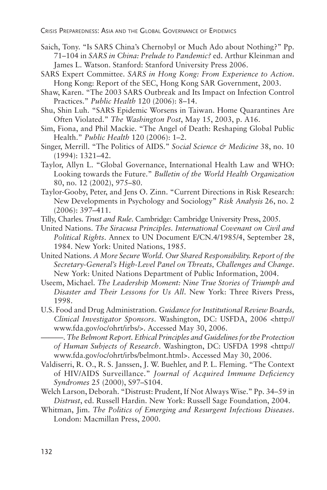- Saich, Tony. "Is SARS China's Chernobyl or Much Ado about Nothing?" Pp. 71–104 in *SARS in China: Prelude to Pandemic?* ed. Arthur Kleinman and James L. Watson. Stanford: Stanford University Press 2006.
- SARS Expert Committee. *SARS in Hong Kong: From Experience to Action*. Hong Kong: Report of the SEC, Hong Kong SAR Government, 2003.
- Shaw, Karen. "The 2003 SARS Outbreak and Its Impact on Infection Control Practices." *Public Health* 120 (2006): 8–14.
- Shu, Shin Luh. "SARS Epidemic Worsens in Taiwan. Home Quarantines Are Often Violated." *The Washington Post*, May 15, 2003, p. A16.
- Sim, Fiona, and Phil Mackie. "The Angel of Death: Reshaping Global Public Health." *Public Health* 120 (2006): 1–2.
- Singer, Merrill. "The Politics of AIDS." *Social Science & Medicine* 38, no. 10 (1994): 1321–42.
- Taylor, Allyn L. "Global Governance, International Health Law and WHO: Looking towards the Future." *Bulletin of the World Health Organization* 80, no. 12 (2002), 975–80.
- Taylor-Gooby, Peter, and Jens O. Zinn. "Current Directions in Risk Research: New Developments in Psychology and Sociology" *Risk Analysis* 26, no. 2 (2006): 397–411.
- Tilly, Charles. *Trust and Rule*. Cambridge: Cambridge University Press, 2005.
- United Nations. *The Siracusa Principles. International Covenant on Civil and Political Rights*. Annex to UN Document E/CN.4/1985/4, September 28, 1984. New York: United Nations, 1985.
- United Nations. *A More Secure World. Our Shared Responsibility. Report of the Secretary-General's High-Level Panel on Threats, Challenges and Change*. New York: United Nations Department of Public Information, 2004.
- Useem, Michael. *The Leadership Moment: Nine True Stories of Triumph and Disaster and Their Lessons for Us All*. New York: Three Rivers Press, 1998.
- U.S. Food and Drug Administration. *Guidance for Institutional Review Boards, Clinical Investigator Sponsors*. Washington, DC: USFDA, 2006 <http:// www.fda.gov/oc/ohrt/irbs/>. Accessed May 30, 2006.
	- ———. *The Belmont Report. Ethical Principles and Guidelines for the Protection of Human Subjects of Research*. Washington, DC: USFDA 1998 <http:// www.fda.gov/oc/ohrt/irbs/belmont.html>. Accessed May 30, 2006.
- Valdiserri, R. O., R. S. Janssen, J. W. Buehler, and P. L. Fleming. "The Context of HIV/AIDS Surveillance." *Journal of Acquired Immune Deficiency Syndromes* 25 (2000), S97–S104.
- Welch Larson, Deborah. "Distrust: Prudent, If Not Always Wise." Pp. 34–59 in *Distrust*, ed. Russell Hardin. New York: Russell Sage Foundation, 2004.
- Whitman, Jim. *The Politics of Emerging and Resurgent Infectious Diseases*. London: Macmillan Press, 2000.